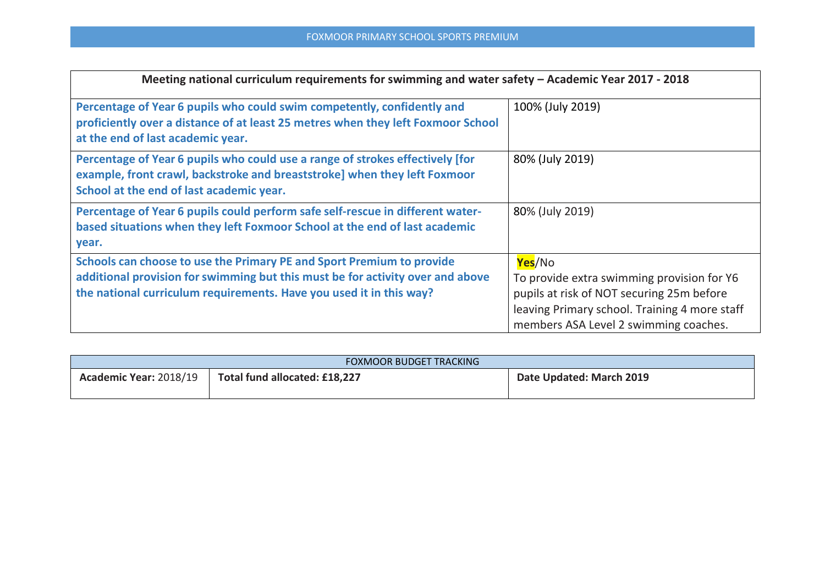| Meeting national curriculum requirements for swimming and water safety - Academic Year 2017 - 2018                                                                                                                             |                                                                                                                                                                                             |  |  |  |  |
|--------------------------------------------------------------------------------------------------------------------------------------------------------------------------------------------------------------------------------|---------------------------------------------------------------------------------------------------------------------------------------------------------------------------------------------|--|--|--|--|
| Percentage of Year 6 pupils who could swim competently, confidently and<br>proficiently over a distance of at least 25 metres when they left Foxmoor School<br>at the end of last academic year.                               | 100% (July 2019)                                                                                                                                                                            |  |  |  |  |
| Percentage of Year 6 pupils who could use a range of strokes effectively [for<br>example, front crawl, backstroke and breaststroke] when they left Foxmoor<br>School at the end of last academic year.                         | 80% (July 2019)                                                                                                                                                                             |  |  |  |  |
| Percentage of Year 6 pupils could perform safe self-rescue in different water-<br>based situations when they left Foxmoor School at the end of last academic<br>year.                                                          | 80% (July 2019)                                                                                                                                                                             |  |  |  |  |
| Schools can choose to use the Primary PE and Sport Premium to provide<br>additional provision for swimming but this must be for activity over and above<br>the national curriculum requirements. Have you used it in this way? | Yes/No<br>To provide extra swimming provision for Y6<br>pupils at risk of NOT securing 25m before<br>leaving Primary school. Training 4 more staff<br>members ASA Level 2 swimming coaches. |  |  |  |  |

| <b>FOXMOOR BUDGET TRACKING</b> |                               |                          |  |  |  |
|--------------------------------|-------------------------------|--------------------------|--|--|--|
| Academic Year: 2018/19         | Total fund allocated: £18,227 | Date Updated: March 2019 |  |  |  |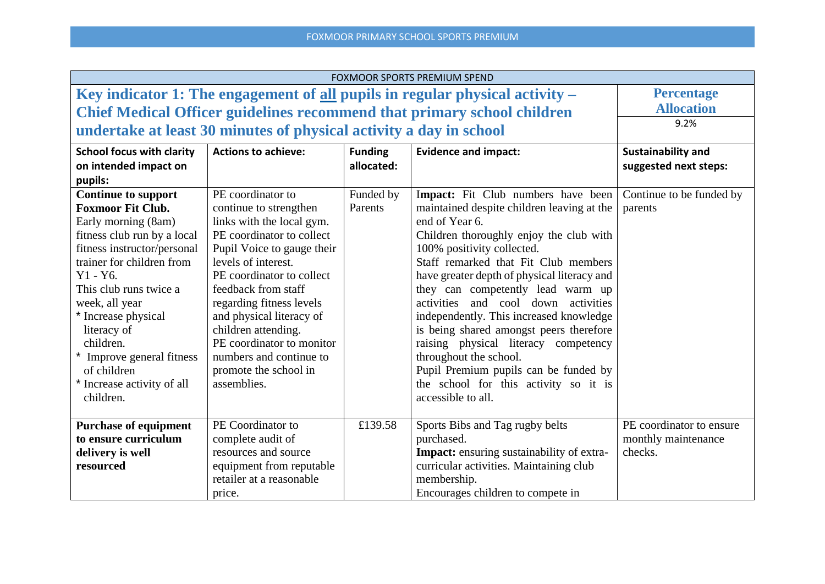| <b>FOXMOOR SPORTS PREMIUM SPEND</b>                                          |                                                                    |                |                                                                                |                           |
|------------------------------------------------------------------------------|--------------------------------------------------------------------|----------------|--------------------------------------------------------------------------------|---------------------------|
| Key indicator 1: The engagement of all pupils in regular physical activity - | <b>Percentage</b>                                                  |                |                                                                                |                           |
|                                                                              |                                                                    |                | <b>Chief Medical Officer guidelines recommend that primary school children</b> | <b>Allocation</b>         |
|                                                                              | undertake at least 30 minutes of physical activity a day in school |                |                                                                                | 9.2%                      |
|                                                                              |                                                                    |                |                                                                                |                           |
| <b>School focus with clarity</b>                                             | <b>Actions to achieve:</b>                                         | <b>Funding</b> | <b>Evidence and impact:</b>                                                    | <b>Sustainability and</b> |
| on intended impact on                                                        |                                                                    | allocated:     |                                                                                | suggested next steps:     |
| pupils:                                                                      |                                                                    |                |                                                                                |                           |
| <b>Continue to support</b>                                                   | PE coordinator to                                                  | Funded by      | Impact: Fit Club numbers have been                                             | Continue to be funded by  |
| <b>Foxmoor Fit Club.</b>                                                     | continue to strengthen                                             | Parents        | maintained despite children leaving at the                                     | parents                   |
| Early morning (8am)                                                          | links with the local gym.                                          |                | end of Year 6.                                                                 |                           |
| fitness club run by a local                                                  | PE coordinator to collect                                          |                | Children thoroughly enjoy the club with                                        |                           |
| fitness instructor/personal                                                  | Pupil Voice to gauge their                                         |                | 100% positivity collected.                                                     |                           |
| trainer for children from                                                    | levels of interest.                                                |                | Staff remarked that Fit Club members                                           |                           |
| $Y1 - Y6.$                                                                   | PE coordinator to collect                                          |                | have greater depth of physical literacy and                                    |                           |
| This club runs twice a                                                       | feedback from staff                                                |                | they can competently lead warm up                                              |                           |
| week, all year                                                               | regarding fitness levels                                           |                | activities and cool down activities                                            |                           |
| * Increase physical                                                          | and physical literacy of                                           |                | independently. This increased knowledge                                        |                           |
| literacy of                                                                  | children attending.                                                |                | is being shared amongst peers therefore                                        |                           |
| children.                                                                    | PE coordinator to monitor                                          |                |                                                                                |                           |
| * Improve general fitness                                                    | numbers and continue to                                            |                | throughout the school.                                                         |                           |
| of children                                                                  | promote the school in                                              |                | Pupil Premium pupils can be funded by                                          |                           |
| * Increase activity of all                                                   | assemblies.                                                        |                | the school for this activity so it is                                          |                           |
| children.                                                                    |                                                                    |                | accessible to all.                                                             |                           |
|                                                                              |                                                                    |                |                                                                                |                           |
| <b>Purchase of equipment</b>                                                 | PE Coordinator to                                                  | £139.58        | Sports Bibs and Tag rugby belts                                                | PE coordinator to ensure  |
| to ensure curriculum                                                         | complete audit of                                                  |                | purchased.                                                                     | monthly maintenance       |
| delivery is well                                                             | resources and source                                               |                | <b>Impact:</b> ensuring sustainability of extra-                               | checks.                   |
| resourced                                                                    | equipment from reputable                                           |                | curricular activities. Maintaining club                                        |                           |
|                                                                              | retailer at a reasonable                                           |                | membership.                                                                    |                           |
|                                                                              | price.                                                             |                | Encourages children to compete in                                              |                           |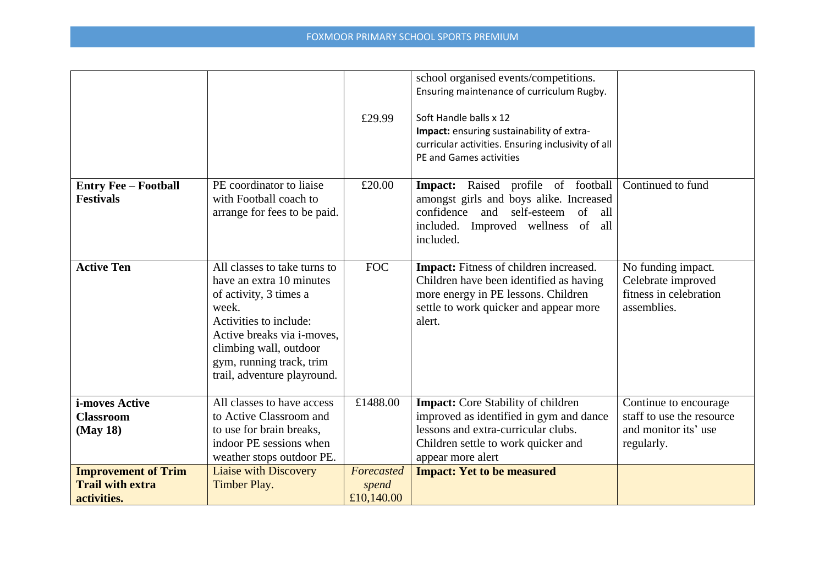|                                                                      |                                                                                                                                                                                                                                                  | £29.99                            | school organised events/competitions.<br>Ensuring maintenance of curriculum Rugby.<br>Soft Handle balls x 12<br>Impact: ensuring sustainability of extra-<br>curricular activities. Ensuring inclusivity of all<br>PE and Games activities |                                                                                          |
|----------------------------------------------------------------------|--------------------------------------------------------------------------------------------------------------------------------------------------------------------------------------------------------------------------------------------------|-----------------------------------|--------------------------------------------------------------------------------------------------------------------------------------------------------------------------------------------------------------------------------------------|------------------------------------------------------------------------------------------|
| <b>Entry Fee - Football</b><br><b>Festivals</b>                      | PE coordinator to liaise<br>with Football coach to<br>arrange for fees to be paid.                                                                                                                                                               | £20.00                            | Impact: Raised profile of football<br>amongst girls and boys alike. Increased<br>self-esteem<br>confidence and<br>of all<br>included. Improved wellness of all<br>included.                                                                | Continued to fund                                                                        |
| <b>Active Ten</b>                                                    | All classes to take turns to<br>have an extra 10 minutes<br>of activity, 3 times a<br>week.<br>Activities to include:<br>Active breaks via <i>i</i> -moves,<br>climbing wall, outdoor<br>gym, running track, trim<br>trail, adventure playround. | <b>FOC</b>                        | <b>Impact:</b> Fitness of children increased.<br>Children have been identified as having<br>more energy in PE lessons. Children<br>settle to work quicker and appear more<br>alert.                                                        | No funding impact.<br>Celebrate improved<br>fitness in celebration<br>assemblies.        |
| <i>i-moves Active</i><br><b>Classroom</b><br>(May 18)                | All classes to have access<br>to Active Classroom and<br>to use for brain breaks,<br>indoor PE sessions when<br>weather stops outdoor PE.                                                                                                        | £1488.00                          | <b>Impact:</b> Core Stability of children<br>improved as identified in gym and dance<br>lessons and extra-curricular clubs.<br>Children settle to work quicker and<br>appear more alert                                                    | Continue to encourage<br>staff to use the resource<br>and monitor its' use<br>regularly. |
| <b>Improvement of Trim</b><br><b>Trail with extra</b><br>activities. | <b>Liaise with Discovery</b><br>Timber Play.                                                                                                                                                                                                     | Forecasted<br>spend<br>£10,140.00 | <b>Impact: Yet to be measured</b>                                                                                                                                                                                                          |                                                                                          |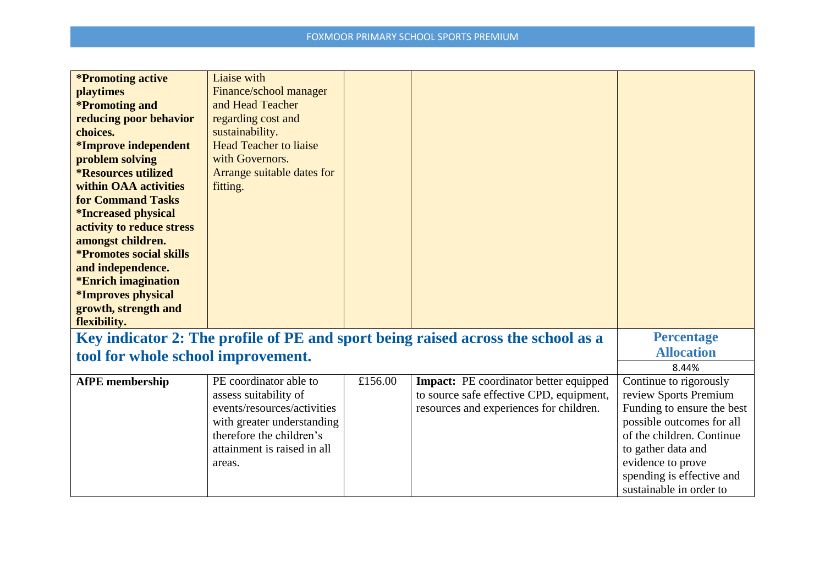| <i>*Promoting active</i><br><b>playtimes</b><br><i>*Promoting and</i><br>reducing poor behavior<br>choices.<br><i>*Improve independent</i><br>problem solving<br><i><b>*Resources utilized</b></i><br>within OAA activities<br><b>for Command Tasks</b><br><i><b>*Increased physical</b></i><br>activity to reduce stress<br>amongst children.<br><i><b>*Promotes social skills</b></i><br>and independence.<br><i><b>*Enrich imagination</b></i><br><i><b>*Improves physical</b></i><br>growth, strength and<br>flexibility. | Liaise with<br>Finance/school manager<br>and Head Teacher<br>regarding cost and<br>sustainability.<br><b>Head Teacher to liaise</b><br>with Governors.<br>Arrange suitable dates for<br>fitting. |         |                                                                                                                                      |                                                                                                                                                                                                                                            |
|-------------------------------------------------------------------------------------------------------------------------------------------------------------------------------------------------------------------------------------------------------------------------------------------------------------------------------------------------------------------------------------------------------------------------------------------------------------------------------------------------------------------------------|--------------------------------------------------------------------------------------------------------------------------------------------------------------------------------------------------|---------|--------------------------------------------------------------------------------------------------------------------------------------|--------------------------------------------------------------------------------------------------------------------------------------------------------------------------------------------------------------------------------------------|
|                                                                                                                                                                                                                                                                                                                                                                                                                                                                                                                               |                                                                                                                                                                                                  |         | Key indicator 2: The profile of PE and sport being raised across the school as a                                                     | <b>Percentage</b>                                                                                                                                                                                                                          |
| tool for whole school improvement.                                                                                                                                                                                                                                                                                                                                                                                                                                                                                            |                                                                                                                                                                                                  |         |                                                                                                                                      | <b>Allocation</b>                                                                                                                                                                                                                          |
|                                                                                                                                                                                                                                                                                                                                                                                                                                                                                                                               |                                                                                                                                                                                                  |         |                                                                                                                                      | 8.44%                                                                                                                                                                                                                                      |
| <b>AfPE</b> membership                                                                                                                                                                                                                                                                                                                                                                                                                                                                                                        | PE coordinator able to<br>assess suitability of<br>events/resources/activities<br>with greater understanding<br>therefore the children's<br>attainment is raised in all<br>areas.                | £156.00 | <b>Impact:</b> PE coordinator better equipped<br>to source safe effective CPD, equipment,<br>resources and experiences for children. | Continue to rigorously<br>review Sports Premium<br>Funding to ensure the best<br>possible outcomes for all<br>of the children. Continue<br>to gather data and<br>evidence to prove<br>spending is effective and<br>sustainable in order to |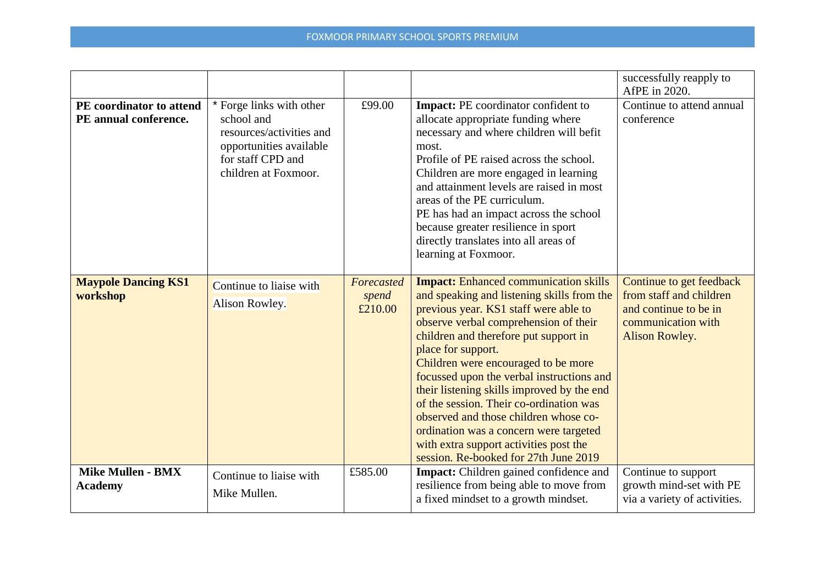|                                                   |                                                                                                                                            |                                |                                                                                                                                                                                                                                                                                                                                                                                                                                                                                                                                                                                                | successfully reapply to<br>AfPE in 2020.                                                                             |
|---------------------------------------------------|--------------------------------------------------------------------------------------------------------------------------------------------|--------------------------------|------------------------------------------------------------------------------------------------------------------------------------------------------------------------------------------------------------------------------------------------------------------------------------------------------------------------------------------------------------------------------------------------------------------------------------------------------------------------------------------------------------------------------------------------------------------------------------------------|----------------------------------------------------------------------------------------------------------------------|
| PE coordinator to attend<br>PE annual conference. | * Forge links with other<br>school and<br>resources/activities and<br>opportunities available<br>for staff CPD and<br>children at Foxmoor. | £99.00                         | Impact: PE coordinator confident to<br>allocate appropriate funding where<br>necessary and where children will befit<br>most.<br>Profile of PE raised across the school.<br>Children are more engaged in learning<br>and attainment levels are raised in most<br>areas of the PE curriculum.<br>PE has had an impact across the school<br>because greater resilience in sport<br>directly translates into all areas of<br>learning at Foxmoor.                                                                                                                                                 | Continue to attend annual<br>conference                                                                              |
| <b>Maypole Dancing KS1</b><br>workshop            | Continue to liaise with<br>Alison Rowley.                                                                                                  | Forecasted<br>spend<br>£210.00 | <b>Impact:</b> Enhanced communication skills<br>and speaking and listening skills from the<br>previous year. KS1 staff were able to<br>observe verbal comprehension of their<br>children and therefore put support in<br>place for support.<br>Children were encouraged to be more<br>focussed upon the verbal instructions and<br>their listening skills improved by the end<br>of the session. Their co-ordination was<br>observed and those children whose co-<br>ordination was a concern were targeted<br>with extra support activities post the<br>session. Re-booked for 27th June 2019 | Continue to get feedback<br>from staff and children<br>and continue to be in<br>communication with<br>Alison Rowley. |
| <b>Mike Mullen - BMX</b><br><b>Academy</b>        | Continue to liaise with<br>Mike Mullen.                                                                                                    | £585.00                        | <b>Impact:</b> Children gained confidence and<br>resilience from being able to move from<br>a fixed mindset to a growth mindset.                                                                                                                                                                                                                                                                                                                                                                                                                                                               | Continue to support<br>growth mind-set with PE<br>via a variety of activities.                                       |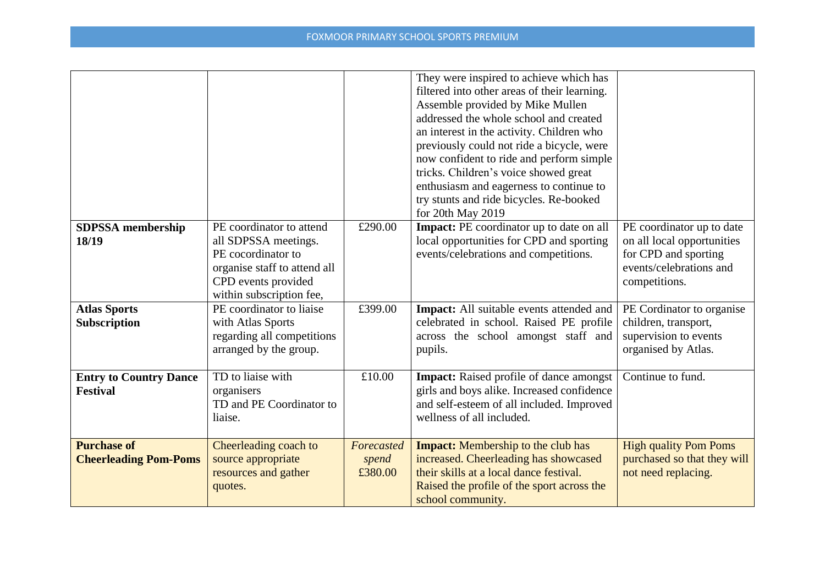|                                                    |                                                                                                                                                           |                                | They were inspired to achieve which has<br>filtered into other areas of their learning.<br>Assemble provided by Mike Mullen<br>addressed the whole school and created<br>an interest in the activity. Children who<br>previously could not ride a bicycle, were<br>now confident to ride and perform simple<br>tricks. Children's voice showed great<br>enthusiasm and eagerness to continue to<br>try stunts and ride bicycles. Re-booked<br>for 20th May 2019 |                                                                                                                             |
|----------------------------------------------------|-----------------------------------------------------------------------------------------------------------------------------------------------------------|--------------------------------|-----------------------------------------------------------------------------------------------------------------------------------------------------------------------------------------------------------------------------------------------------------------------------------------------------------------------------------------------------------------------------------------------------------------------------------------------------------------|-----------------------------------------------------------------------------------------------------------------------------|
| <b>SDPSSA</b> membership<br>18/19                  | PE coordinator to attend<br>all SDPSSA meetings.<br>PE cocordinator to<br>organise staff to attend all<br>CPD events provided<br>within subscription fee, | £290.00                        | <b>Impact:</b> PE coordinator up to date on all<br>local opportunities for CPD and sporting<br>events/celebrations and competitions.                                                                                                                                                                                                                                                                                                                            | PE coordinator up to date<br>on all local opportunities<br>for CPD and sporting<br>events/celebrations and<br>competitions. |
| <b>Atlas Sports</b><br>Subscription                | PE coordinator to liaise<br>with Atlas Sports<br>regarding all competitions<br>arranged by the group.                                                     | £399.00                        | <b>Impact:</b> All suitable events attended and<br>celebrated in school. Raised PE profile<br>across the school amongst staff and<br>pupils.                                                                                                                                                                                                                                                                                                                    | PE Cordinator to organise<br>children, transport,<br>supervision to events<br>organised by Atlas.                           |
| <b>Entry to Country Dance</b><br><b>Festival</b>   | TD to liaise with<br>organisers<br>TD and PE Coordinator to<br>liaise.                                                                                    | £10.00                         | <b>Impact:</b> Raised profile of dance amongst<br>girls and boys alike. Increased confidence<br>and self-esteem of all included. Improved<br>wellness of all included.                                                                                                                                                                                                                                                                                          | Continue to fund.                                                                                                           |
| <b>Purchase of</b><br><b>Cheerleading Pom-Poms</b> | Cheerleading coach to<br>source appropriate<br>resources and gather<br>quotes.                                                                            | Forecasted<br>spend<br>£380.00 | <b>Impact:</b> Membership to the club has<br>increased. Cheerleading has showcased<br>their skills at a local dance festival.<br>Raised the profile of the sport across the<br>school community.                                                                                                                                                                                                                                                                | <b>High quality Pom Poms</b><br>purchased so that they will<br>not need replacing.                                          |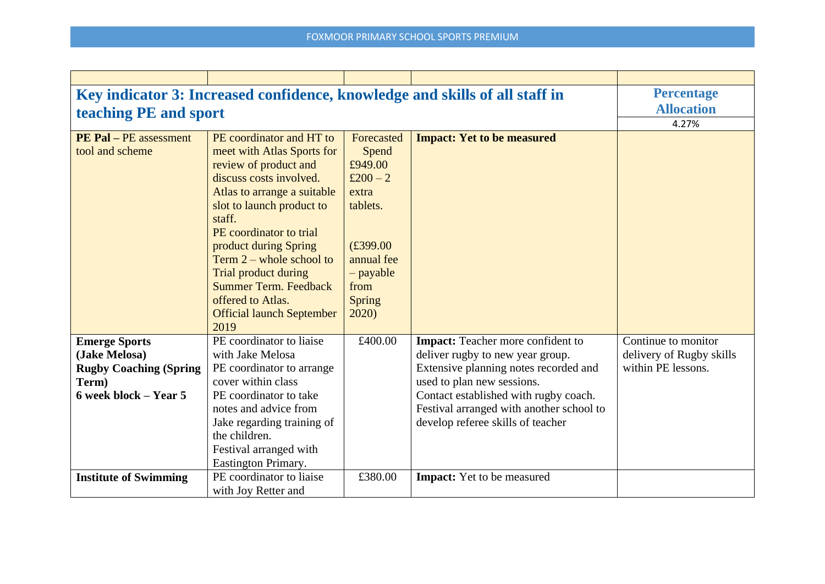| Key indicator 3: Increased confidence, knowledge and skills of all staff in                                | <b>Percentage</b>                                                                                                                                                                                                                                                                                                                                                                           |                                                                                                                                      |                                                                                                                                                                                                                                                                               |                                                                       |
|------------------------------------------------------------------------------------------------------------|---------------------------------------------------------------------------------------------------------------------------------------------------------------------------------------------------------------------------------------------------------------------------------------------------------------------------------------------------------------------------------------------|--------------------------------------------------------------------------------------------------------------------------------------|-------------------------------------------------------------------------------------------------------------------------------------------------------------------------------------------------------------------------------------------------------------------------------|-----------------------------------------------------------------------|
| teaching PE and sport                                                                                      |                                                                                                                                                                                                                                                                                                                                                                                             |                                                                                                                                      |                                                                                                                                                                                                                                                                               | <b>Allocation</b>                                                     |
|                                                                                                            |                                                                                                                                                                                                                                                                                                                                                                                             |                                                                                                                                      |                                                                                                                                                                                                                                                                               | 4.27%                                                                 |
| <b>PE Pal - PE assessment</b><br>tool and scheme                                                           | PE coordinator and HT to<br>meet with Atlas Sports for<br>review of product and<br>discuss costs involved.<br>Atlas to arrange a suitable<br>slot to launch product to<br>staff.<br>PE coordinator to trial<br>product during Spring<br>Term $2$ – whole school to<br>Trial product during<br><b>Summer Term. Feedback</b><br>offered to Atlas.<br><b>Official launch September</b><br>2019 | Forecasted<br>Spend<br>£949.00<br>£ $200 - 2$<br>extra<br>tablets.<br>£399.00<br>annual fee<br>$-payable$<br>from<br>Spring<br>2020) | <b>Impact: Yet to be measured</b>                                                                                                                                                                                                                                             |                                                                       |
| <b>Emerge Sports</b><br>(Jake Melosa)<br><b>Rugby Coaching (Spring</b><br>Term)<br>$6$ week block – Year 5 | PE coordinator to liaise<br>with Jake Melosa<br>PE coordinator to arrange<br>cover within class<br>PE coordinator to take<br>notes and advice from<br>Jake regarding training of<br>the children.<br>Festival arranged with<br>Eastington Primary.                                                                                                                                          | £400.00                                                                                                                              | <b>Impact:</b> Teacher more confident to<br>deliver rugby to new year group.<br>Extensive planning notes recorded and<br>used to plan new sessions.<br>Contact established with rugby coach.<br>Festival arranged with another school to<br>develop referee skills of teacher | Continue to monitor<br>delivery of Rugby skills<br>within PE lessons. |
| <b>Institute of Swimming</b>                                                                               | PE coordinator to liaise<br>with Joy Retter and                                                                                                                                                                                                                                                                                                                                             | £380.00                                                                                                                              | Impact: Yet to be measured                                                                                                                                                                                                                                                    |                                                                       |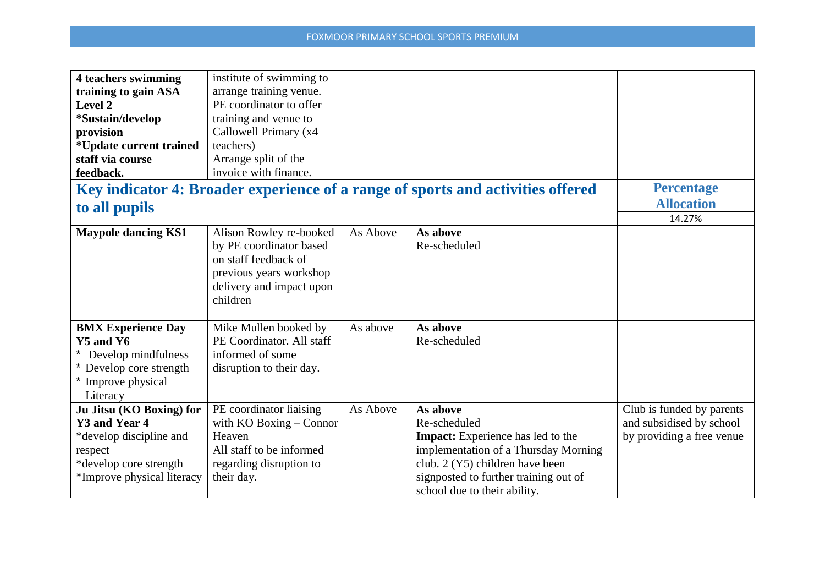| <b>4 teachers swimming</b>      | institute of swimming to    |          |                                                                                 |                           |
|---------------------------------|-----------------------------|----------|---------------------------------------------------------------------------------|---------------------------|
| training to gain ASA            | arrange training venue.     |          |                                                                                 |                           |
| Level 2                         | PE coordinator to offer     |          |                                                                                 |                           |
| *Sustain/develop                | training and venue to       |          |                                                                                 |                           |
| provision                       | Callowell Primary (x4       |          |                                                                                 |                           |
| <i>*</i> Update current trained | teachers)                   |          |                                                                                 |                           |
| staff via course                | Arrange split of the        |          |                                                                                 |                           |
| feedback.                       | invoice with finance.       |          |                                                                                 |                           |
|                                 |                             |          | Key indicator 4: Broader experience of a range of sports and activities offered | <b>Percentage</b>         |
| to all pupils                   |                             |          |                                                                                 | <b>Allocation</b>         |
|                                 |                             |          |                                                                                 | 14.27%                    |
| <b>Maypole dancing KS1</b>      | Alison Rowley re-booked     | As Above | As above                                                                        |                           |
|                                 | by PE coordinator based     |          | Re-scheduled                                                                    |                           |
|                                 | on staff feedback of        |          |                                                                                 |                           |
|                                 | previous years workshop     |          |                                                                                 |                           |
|                                 | delivery and impact upon    |          |                                                                                 |                           |
|                                 | children                    |          |                                                                                 |                           |
|                                 |                             |          |                                                                                 |                           |
| <b>BMX Experience Day</b>       | Mike Mullen booked by       | As above | As above                                                                        |                           |
| $Y5$ and $Y6$                   | PE Coordinator. All staff   |          | Re-scheduled                                                                    |                           |
| Develop mindfulness             | informed of some            |          |                                                                                 |                           |
| Develop core strength           | disruption to their day.    |          |                                                                                 |                           |
| * Improve physical              |                             |          |                                                                                 |                           |
| Literacy                        |                             |          |                                                                                 |                           |
| Ju Jitsu (KO Boxing) for        | PE coordinator liaising     | As Above | As above                                                                        | Club is funded by parents |
| Y3 and Year 4                   | with $KO$ Boxing $-$ Connor |          | Re-scheduled                                                                    | and subsidised by school  |
| *develop discipline and         | Heaven                      |          | Impact: Experience has led to the                                               | by providing a free venue |
| respect                         | All staff to be informed    |          | implementation of a Thursday Morning                                            |                           |
| *develop core strength          | regarding disruption to     |          | club. 2 (Y5) children have been                                                 |                           |
| *Improve physical literacy      | their day.                  |          | signposted to further training out of                                           |                           |
|                                 |                             |          | school due to their ability.                                                    |                           |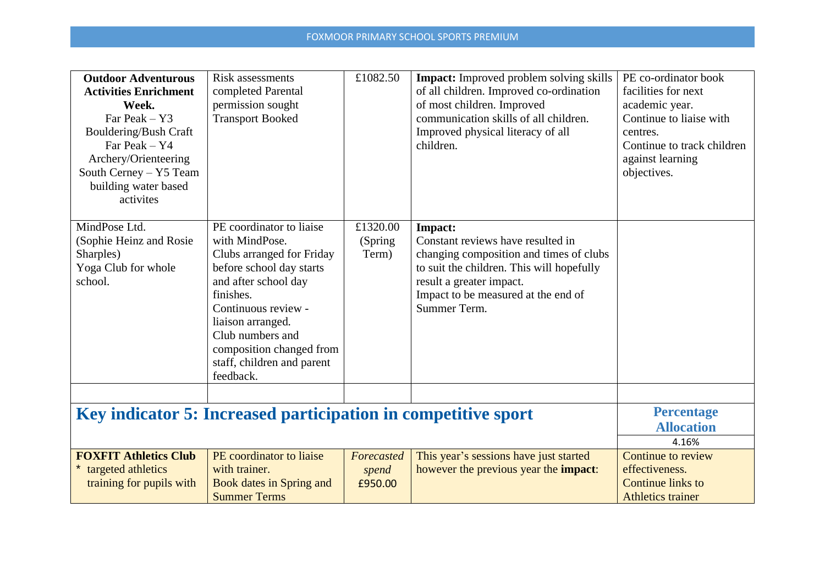| <b>Outdoor Adventurous</b><br><b>Activities Enrichment</b><br>Week.<br>Far Peak $-$ Y3<br>Bouldering/Bush Craft<br>Far Peak - Y4<br>Archery/Orienteering<br>South Cerney - Y5 Team<br>building water based<br>activites | <b>Risk assessments</b><br>completed Parental<br>permission sought<br><b>Transport Booked</b>                                                                                                                                                                                   | £1082.50                       | <b>Impact:</b> Improved problem solving skills<br>of all children. Improved co-ordination<br>of most children. Improved<br>communication skills of all children.<br>Improved physical literacy of all<br>children.      | PE co-ordinator book<br>facilities for next<br>academic year.<br>Continue to liaise with<br>centres.<br>Continue to track children<br>against learning<br>objectives. |
|-------------------------------------------------------------------------------------------------------------------------------------------------------------------------------------------------------------------------|---------------------------------------------------------------------------------------------------------------------------------------------------------------------------------------------------------------------------------------------------------------------------------|--------------------------------|-------------------------------------------------------------------------------------------------------------------------------------------------------------------------------------------------------------------------|-----------------------------------------------------------------------------------------------------------------------------------------------------------------------|
| MindPose Ltd.<br>(Sophie Heinz and Rosie<br>Sharples)<br>Yoga Club for whole<br>school.                                                                                                                                 | PE coordinator to liaise<br>with MindPose.<br>Clubs arranged for Friday<br>before school day starts<br>and after school day<br>finishes.<br>Continuous review -<br>liaison arranged.<br>Club numbers and<br>composition changed from<br>staff, children and parent<br>feedback. | £1320.00<br>(Spring<br>Term)   | Impact:<br>Constant reviews have resulted in<br>changing composition and times of clubs<br>to suit the children. This will hopefully<br>result a greater impact.<br>Impact to be measured at the end of<br>Summer Term. |                                                                                                                                                                       |
|                                                                                                                                                                                                                         | Key indicator 5: Increased participation in competitive sport                                                                                                                                                                                                                   |                                |                                                                                                                                                                                                                         | <b>Percentage</b><br><b>Allocation</b>                                                                                                                                |
| <b>FOXFIT Athletics Club</b><br>targeted athletics<br>training for pupils with                                                                                                                                          | PE coordinator to liaise<br>with trainer.<br><b>Book dates in Spring and</b><br><b>Summer Terms</b>                                                                                                                                                                             | Forecasted<br>spend<br>£950.00 | This year's sessions have just started<br>however the previous year the <b>impact</b> :                                                                                                                                 | 4.16%<br>Continue to review<br>effectiveness.<br>Continue links to<br><b>Athletics trainer</b>                                                                        |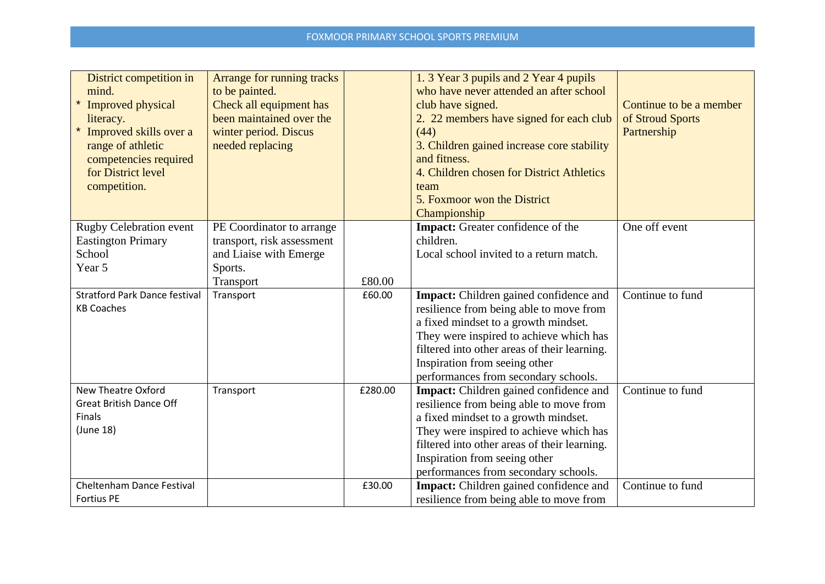| District competition in<br>mind.<br><b>Improved physical</b><br>literacy.<br>Improved skills over a<br>range of athletic<br>competencies required<br>for District level<br>competition. | Arrange for running tracks<br>to be painted.<br>Check all equipment has<br>been maintained over the<br>winter period. Discus<br>needed replacing |         | 1. 3 Year 3 pupils and 2 Year 4 pupils<br>who have never attended an after school<br>club have signed.<br>2. 22 members have signed for each club<br>(44)<br>3. Children gained increase core stability<br>and fitness.<br>4. Children chosen for District Athletics<br>team<br>5. Foxmoor won the District<br>Championship | Continue to be a member<br>of Stroud Sports<br>Partnership |
|-----------------------------------------------------------------------------------------------------------------------------------------------------------------------------------------|--------------------------------------------------------------------------------------------------------------------------------------------------|---------|-----------------------------------------------------------------------------------------------------------------------------------------------------------------------------------------------------------------------------------------------------------------------------------------------------------------------------|------------------------------------------------------------|
| <b>Rugby Celebration event</b>                                                                                                                                                          | PE Coordinator to arrange                                                                                                                        |         | Impact: Greater confidence of the                                                                                                                                                                                                                                                                                           | One off event                                              |
| <b>Eastington Primary</b><br>School                                                                                                                                                     | transport, risk assessment<br>and Liaise with Emerge                                                                                             |         | children.<br>Local school invited to a return match.                                                                                                                                                                                                                                                                        |                                                            |
| Year 5                                                                                                                                                                                  | Sports.                                                                                                                                          |         |                                                                                                                                                                                                                                                                                                                             |                                                            |
|                                                                                                                                                                                         | Transport                                                                                                                                        | £80.00  |                                                                                                                                                                                                                                                                                                                             |                                                            |
| <b>Stratford Park Dance festival</b><br><b>KB Coaches</b>                                                                                                                               | Transport                                                                                                                                        | £60.00  | Impact: Children gained confidence and<br>resilience from being able to move from<br>a fixed mindset to a growth mindset.<br>They were inspired to achieve which has<br>filtered into other areas of their learning.<br>Inspiration from seeing other<br>performances from secondary schools.                               | Continue to fund                                           |
| <b>New Theatre Oxford</b><br><b>Great British Dance Off</b><br><b>Finals</b><br>(June 18)                                                                                               | Transport                                                                                                                                        | £280.00 | <b>Impact:</b> Children gained confidence and<br>resilience from being able to move from<br>a fixed mindset to a growth mindset.<br>They were inspired to achieve which has<br>filtered into other areas of their learning.<br>Inspiration from seeing other<br>performances from secondary schools.                        | Continue to fund                                           |
| <b>Cheltenham Dance Festival</b><br><b>Fortius PE</b>                                                                                                                                   |                                                                                                                                                  | £30.00  | Impact: Children gained confidence and<br>resilience from being able to move from                                                                                                                                                                                                                                           | Continue to fund                                           |